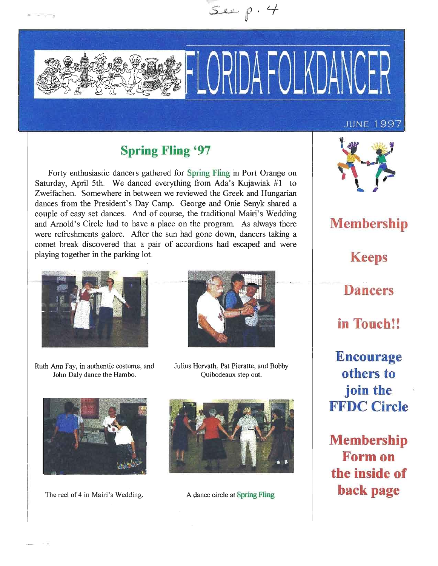

# **Spring Fling '97**

Forty enthusiastic dancers gathered for Spring Fling in Port Orange on Saturday, April 5th. We danced everything from Ada's Kujawiak #1 to Zweifachen. Somewhere in between we reviewed the Greek and Hungarian dances from the President's Day Camp. George and Onie Senyk shared a couple of easy set dances. And of course, the traditional Mairi's Wedding and Arnold's Circle had to have a place on the program. As always there were refreshments galore. After the sun had gone down, dancers taking a comet break discovered that a pair of accordions had escaped and were playing together in the parking lot.



Ruth Ann Fay, in authentic costume, and John Daly dance the Hambo.



Julius Horvath, Pat Pieratte, and Bobby Quibodeaux step out.



The reel of 4 in Mairi's Wedding. A dance circle at Spring Fling.





**Membership Keeps Dancers in Touch!! Encourage others to join the FFDC Circle**

**Membership** Form on **the inside of** back page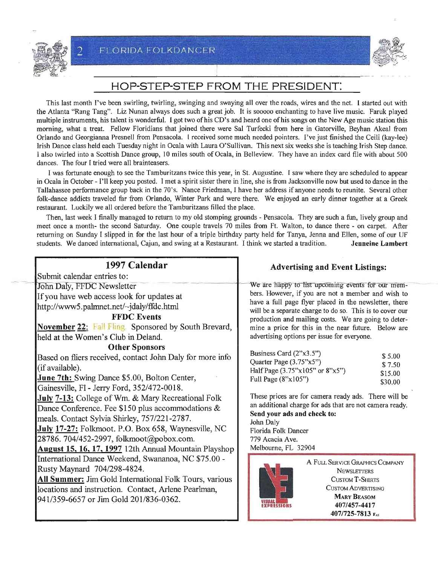



## HOP-STEP-STEP FROM THE PRESIDENT:

- • - , ~ ,.<

This last month I've been swirling, twirling, swinging and swaying all over the roads, wires and the net. I started out with the Atlanta "Rang Tang". Liz Nunan always does such a great job. It is sooooo enchanting to have live music. Faruk played multiple instruments, his talent is wonderful. I got two of his CD's and heard one of his songs on the New Age music station this morning, what a treat. Fellow Floridians that joined there were Sal Turfecki from here in GatorviUe, Beyhan Akeal from Orlando and Georgianna Presnell from Pensacola. 1 received some much needed pointers. I've just finished the Ceili (kay-lee) Irish Dance class held each Tuesday night in Ocala with Laura O'Sullivan. This next six weeks she is teaching Irish Step dance. I also twirled into a Scottish Dance group, 10 miles south of Ocala, in Belleview. They have an index card file with about 500 dances. The four I tried were all brainteasers.

I was fortunate enough to see the Tamburitzans twice this year, in st. Augustine. I saw where they are scheduled to appear in Ocala in October - I'll keep you posted. I met a spirit sister there in line, she is from Jacksonville now but used to dance in the Tallahassee performance group back in the 70's. Nance Friedman, I have her address ifanyone needs to reunite. Several other folk-dance addicts traveled far from Orlando, Winter Park and were there. We enjoyed an early dinner together at a Greek restaurant. Luckily we all ordered before the Tamburitzans filled the place.

Then, last week I finally managed to return to my old stomping grounds - Pensacola. They are such a fun, lively group and meet once a month- the second Saturday. One couple travels 70 miles from Ft. Walton, to dance there - on carpet. After returning on Sunday I slipped in for the last hour of a triple birthday party held for Tanya, Jenna and Ellen, some of our UF students. We danced international, Cajun, and swing at a Restaurant. I think we started a tradition. Jenneine Lambert

| 1997 Calendar                                                 | Advertisii                                  |
|---------------------------------------------------------------|---------------------------------------------|
| Submit calendar entries to:                                   |                                             |
| John Daly, FFDC Newsletter                                    | We are happy to 1                           |
| If you have web access look for updates at                    | bers. However, if y                         |
| http://www5.palmnet.net/~jdaly/ffdc.html                      | have a full page fl<br>will be a separate c |
| <b>FFDC</b> Events                                            | production and ma                           |
| <b>November 22:</b> Fall Fling. Sponsored by South Brevard,   | mine a price for tl                         |
| held at the Women's Club in Deland.                           | advertising options                         |
| <b>Other Sponsors</b>                                         |                                             |
| Based on fliers received, contact John Daly for more info     | Business Card (2"x<br>Quarter Page (3.75    |
| (if available).                                               | Half Page $(3.75"x1)$                       |
| June 7th: Swing Dance \$5.00, Bolton Center,                  | Full Page (8"x105"                          |
| Gainesville, Fl - Jerry Ford, 352/472-0018.                   |                                             |
| July 7-13: College of Wm. & Mary Recreational Folk            | These prices are fo                         |
| Dance Conference. Fee $$150$ plus accommodations $&$          | an additional charg<br>Send your ads and    |
| meals. Contact Sylvia Shirley, 757/221-2787.                  | John Daly                                   |
| July 17-27: Folkmoot. P.O. Box 658, Waynesville, NC           | Florida Folk Dance                          |
| 28786. 704/452-2997, folkmoot@pobox.com.                      | 779 Acacia Ave.                             |
| August 15, 16, 17, 1997 12th Annual Mountain Playshop         | Melbourne, FL 329                           |
| International Dance Weekend, Swananoa, NC \$75.00 -           |                                             |
| Rusty Maynard 704/298-4824.                                   |                                             |
| <b>All Summer:</b> Jim Gold International Folk Tours, various |                                             |
| locations and instruction. Contact, Arlene Pearlman,          |                                             |
| 941/359-6657 or Jim Gold 201/836-0362.                        |                                             |
|                                                               |                                             |

#### ng and Event Listings:

ist upcoming events for our memyou are not a member and wish to lyer placed in the newsletter, there harge to do so. This is to cover our iling costs. We are going to deterhis in the near future. Below are per issue for everyone.

| Business Card (2"x3.5")                       | \$ 5.00 |
|-----------------------------------------------|---------|
| Quarter Page (3.75"x5")                       | \$7.50  |
| Half Page $(3.75$ "x $105$ " or $8$ "x $5$ ") | \$15.00 |
| Full Page $(8" \times 105")$                  | \$30.00 |

or camera ready ads. There will be ge for ads that are not camera ready. d check to: Florida Folk Dancer 904

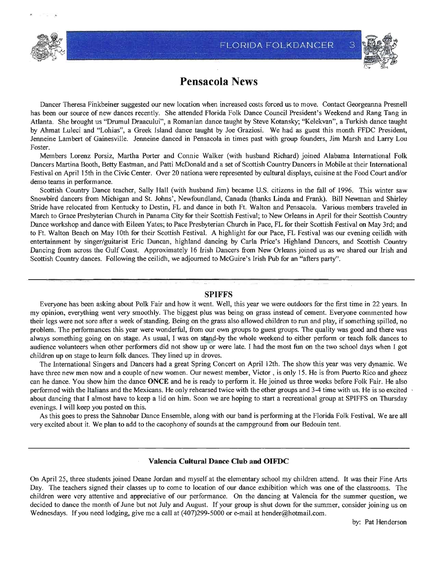

·"



# **Pensacola News**

Dancer Theresa Finkbeiner suggested our new location when increased costs forced us to move. Contact Georgeanna Presnell has been our source of new dances recently. She attended Florida Folk Dance Council President's Weekend and Rang Tang in Atlanta. She brought us "Drumul Draacului", a Romanian dance taught by Steve Kotansky; "Kelekvan", a Turkish dance taught by Ahmat Luleci and "Lohias", a Greek Island dance taught by Joe Graziosi. We had as guest this month FFDC President, Jenneine Lambert of Gainesville. Jenneine danced in Pensacola in times past with group founders, Jim Marsh and Larry Lou Foster.

Members Lorenz Porsiz, Martha Porter and Connie Walker (with husband Richard) joined Alabama International Folk Dancers Martina Booth, Betty Eastman, and Patti McDonald and a set of Scottish Country Dancers in Mobile at their International Festival on April 15th in the Civic Center. Over 20 nationa were represented by cultural displays, cuisine at the Food Court and/or demo teams in performance.

Scottish Country Dance teacher, Sally Hall (with husband Jim) became U.S. citizens in the fall of 1996. This winter saw Snowbird dancers from Michigan and St. Johns', Newfoundland, Canada (thanks Linda and Frank). Bill Newman and Shirley Stride have relocated from Kentucky to Destin, FL and dance in both Ft. Walton and Pensacola. Various members traveled in March to Grace Presbyterian Church in Panama City for their Scottish Festival; to New Orleans in April for their Scottish Country Dance workshop and dance with Eileen Yates; to Pace Presbyterian Church in Pace, FL for their Scottish Festival on May 3rd; and to Ft. Walton Beach on May 10th for their Scottish Festival. A highlight for our Pace, FL Festival was our evening ceilidh with entertainment by singer/guitarist Eric Duncan, highland dancing by Carla Price's Highland Dancers, and Scottish Country Dancing from across the Gulf Coast. Approximately 16 Irish Dancers from New Orleans joined us as we shared our Irish and Scottish Country dances. Following the ceilidh, we adjourned to McGuire's Irish Pub for an "afters party".

#### **SPIFFS**

Everyone has been asking about Polk Fair and how it went. Well, this year we were outdoors for the first time in 22 years. In my opinion, everything went very smoothly. The biggest plus was being on grass instead of cement. Everyone commented how their legs were not sore after a week of standing. Being on the grass also allowed children to run and play, if something spilled, no problem. The performances this year were wonderful, from our own groups to guest groups. The quality was good and there was always something going on on stage. As usual, I was on stand-by the whole weekend to either perform or teach folk dances to audience volunteers when other performers did not show up or were late. I had the most fun on the two school days when I got children up on stage to learn folk dances. They lined up in droves.

The International Singers and Dancers had a great Spring Concert on April 12th. The show this year was very dynamic. We have three new men now and a couple of new women. Our newest member, Victor, is only 15. He is from Puerto Rico and gheez can he dance. You show him the dance **ONCE** and he is ready to perform it. He joined us three weeks before Folk Fair. He also performed with the Italians and the Mexicans. He only rehearsed twice with the other groups and 3-4 time with us. He is so excited about dancing that I almost have to keep a lid on him. Soon we are hoping to start a recreational group at SPIFFS on Thursday evenings. I will keep you posted on this.

As this goes to press the Sahnobar Dance Ensemble, along with our band is performing at the Florida Folk Festival. We are all very excited about it. We plan to add to the cacophony of sounds at the campground from our Bedouin tent.

#### **Valencia Cultural Dance Club and OIFDC**

On April 25, three students joined Deane Jordan and myself at the elementary school my children attend. It was their Fine Arts Day. The teachers signed their classes up to come to location of our dance exhibition which was one of the classrooms. The children were very attentive and appreciative of our performance. On the dancing at Valencia for the summer question, we decided to dance the month of June but not July and August. If your group is shut down for the summer, consider joining us on Wednesdays. If you need lodging, give me a call at (407)299-5000 or e-mail at hender@hotmail.com.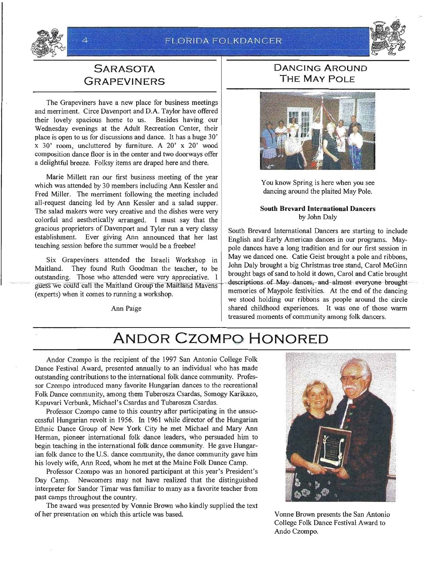

# **SARASOTA GRAPEVINERS**

The Grapeviners have a new place for business meetings and merriment. Circe Davenport and D.A. Taylor have offered their lovely spacious home to us. Besides having our Wednesday evenings at the Adult Recreation Center, their place is open to us for discussions and dance. It has a huge 30' x 30' room, uncluttered by furniture. A 20' x 20' wood composition dance floor is in the center and two doorways offer a delightful breeze. Folksy items are draped here and there.

Marie Millett ran our first business meeting of the year which was attended by 30 members including Ann Kessler and Fred Miller. The merriment following the meeting included all-request dancing led by Ann Kessler and a salad supper. The salad makers were very creative and the dishes were very **South Brevard International Dancers**<br>colorful and aesthetically arranged **I** must say that the **South Brevard International Dancers**<br>by John Daly colorful and aesthetically arranged. I must say that the gracious proprietors of Davenport and Tyler run a very classy South Brevard International Dancers are starting to include establishment. Ever giving Ann announced that her last  $\begin{array}{|l|c|c|c|c|c|c|c|c|c|c|c|c|c|c|c|c|c|c$ establishment. Ever giving Ann announced that her last English and Early American dances in our programs. May-<br>teaching session before the summer would be a freebee!

Maitland. They found Ruth Goodman the teacher, to be  $\begin{bmatrix} 1 \end{bmatrix}$  brought bags of sand to hold it down, Carol and Catie brought outstanding. Those who attended were very appreciative. I butstanding. Those who attended were very appreciative.<br>guess we could call the Maitland Group the Maitland Mavens descriptions of May-dances, and almost everyone-brought experts) when it comes to running a workshop. memories of Maypole festivities. At the end of the dancing (experts) when it comes to running a workshop.

### **DANCING AROUND THE MAY POLE**



You know Spring is here when you see dancing around the plaited May Pole.

pole dances have a long tradition and for our first session in Six Grapeviners attended the Israeli Workshop in May we danced one. Catie Geist brought a pole and ribbons,<br>  $\begin{bmatrix} \text{John Daly brought a big Christmas tree stand, Carol McGinn} \\ \text{John Daly brought a big Christmas tree stand, Carol McGinn} \end{bmatrix}$ we stood holding our ribbons as people around the circle Ann Paige Shared childhood experiences. It was one of those warm treasured moments of community among folk dancers.

# **ANDOR CZOMPO HONORED**

Andor Czompo is the recipient of the 1997 San Antonio College Folk Dance Festival Award, presented annually to an individual who has made outstanding contributions to the international folk dance community. Professor Czompo introduced many favorite Hungarian dances to the recreational Folk Dance community, among them Tuberosza Csardas, Somogy Karikazo, Kapuvari Verbunk, Michael's Csardas and Tubarosza Csardas.

Professor Czompo came to this country after participating in the unsuccessful Hungarian revolt in 1956. In 1961 while director of the Hungarian Ethnic Dance Group of New York City he met Michael and Mary Ann Herman, pioneer international folk dance leaders, who persuaded him to begin teaching in the international folk dance community. He gave Hungarian folk dance to the U.S. dance community, the dance community gave him his lovely wife, Ann Reed, whom he met at the Maine Folk Dance Camp.

Professor Czompo was an honored participant at this year's President's Day Camp. Newcomers may not have realized that the distinguished interpreter for Sandor Timar was familiar to many as a favorite teacher from past camps throughout the country.

The award was presented by Vonnie Brown who kindly supplied the text of her presentation on which this article was based. Vonne Brown presents the San Antonio



College Folk Dance Festival Award to Ando Czompo.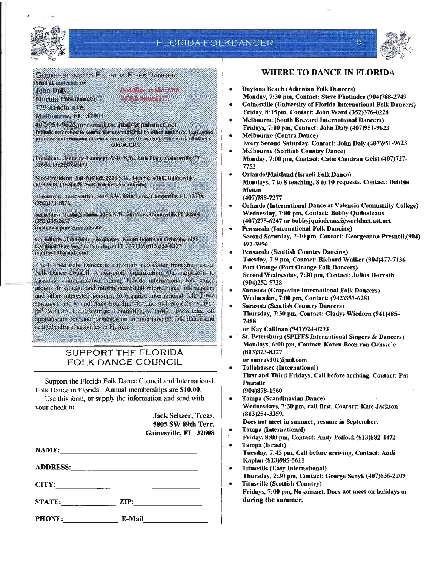

### **FLORIDA FOLKDANCER**

I



 $5^{1}$ 

SUBMISSIONS TO FLORIDA FOLKDANCER Send all materials to:

**John Daly** Florida FolkDancer 779 Acacia Ave

Deadline is the 15th of the month!!!!

Melbourne, FL 32904 407/951-9623 or e-mail to: jdaly a palmnet.net Include reference to source for any material hy other author's. Law, good practice and common decency require us to recognize the work of others. **ORFICERS** 

President: Jenneine Lambert, 5310 N.W. 24th Place, Gainesville, FE 32606, (352)376-7473.

Vice-President: Sal Tufekel, 2220 S.W. 34th St., #180, Gainesville, FL32608, (352)378-2548 (tufekcl a ise.ufl.edu)

Treasurer: Jack Seltzer, 5805 S.W. 89th Terr., Gainesville, FL 32608. (352)373 1876.

Secretary: Toshi Nishida, 2256 N.W. 5th Ave., Gainesville,FL 32603  $(352)335.2637$ 

(nishida a pine circa aff.edu)

Co-Editors: John Dalv (see above). Karen Boon von Ochssee, 4258 Cardinal Way So., St., Peterburg, FI 33713\*(813323-8327 (sunray101@aoLcom)

The Elonda Folk Dancer is a monthly newsletter from the Elonda Folk Dance Council A non-profit organization. Our purpose is to facilitate communication among Florida international folk dance.<br>groups to educate and inform individual international folk dancers. and other interested persons, to organize international folk dance seminars, and to undertake from time to time such projects as mybe put forth by the Executive Committee to further knowledge of appreciation for and participation in international folk dance and related cultural activities in Elorida.

#### SUPPORT THE FLORIDA FOLK DANCE COUNCIL

Support the Florida Folk Dance Council and International Folk Dance in Florida. Annual memberships are \$10.00. Use this form, or supply the information and send with

your check to: Jack Seltzer, Treas,

|        | 5805 SW 89th Terr.<br>Gainesville, FL 32608          |  |
|--------|------------------------------------------------------|--|
|        |                                                      |  |
|        |                                                      |  |
|        |                                                      |  |
| STATE: | ZIP:<br>the control of the control of the control of |  |

PHONE: E-Mail

#### WHERE TO DANCE IN FLORIDA

- Daytona Beach (Athenian Folk Dancers) Monday, 7:30 pm, Contact: Steve Photiades (904)788-2749
- Gainesville (University of Florida International Folk Dancers) Friday, 8:15pm, Contact: John Ward (352)376-0224 •
- Melbourne (South Brevard International Dancers) Fridays, 7:00 pm, Contact: John Daly (407)951-9623 •
- Melbourne (Contra Dance) Every Second Saturday, Contact: John Daly (407)951-9623 •
- Melbourne (Scottish Country Dance) Monday, 7:00 pm, Contact: Catie Condran Geist (407)727-7752 •
- OrlandolMaitland (Israeli Folk Dance) Mondays, 7 to 8 teaching, 8 to 10 requests. Contact: Debbie Meitin (407)788-7277 •
- $\bullet$ Orlando (International Dance at Valencia Community College) Wednesday, 7:00 pm, Contact: Bobby Quibodeaux (407)275-6247 or bobbyjquiodeaux@worldnet.att.net
	- Pensacola (International Folk Dancing) Second Saturday, 7-10 pm, Contact: Georgeanna Presnell,(904) 492-3956
- I Pensacola (Scottish Country Dancing) Tuesday, 7-9 pm, Contact: Richard Walker (904)477-7136
- $\vert \cdot$ Port Orange (port Orange Folk Dancers) Second Wednesday, 7:30 pm, Contact: Julius Horvath (904)252-5738 ~
- $\vert \cdot$ Sarasota (Grapevine International Folk Dancers) Wednesday, 7:00 pm, Contact: (942)351-6281
- i Sarasota {Scottish Country Dancers) Thursday, 7:30 pm, Contact: Gladys Wiedorn (941)485- 7488

or Kay Callinan (941)924-0293

St. Petersburg (SPIFFS International Singers & Dancers) Mondays, 6:00 pm, Contact: Karen Boon von Ochsse'e (813)323-8327 or sunrayl01@aol.com •

- Tallahassee (International) First and Third Fridays, Call before arriving, Contact: Pat Pieratte (904)878-1560 •
- Tampa (Scandinavian Dance) Wednesdays, 7:30 pm, call flrst, Contact: Kate Jackson (813)254-3359. •
	- Does not meet in summer, resume in September.
- Tampa (International) •

Friday, 8:00 pm, Contact: Andy Pollock (813)882-4472

- Tampa (Israeli) Tuesday, 7:45 pm, Call before arriving, Contact: Andi Kaplan (813)985-5611 •
- Titusville (Easy International) Thursday, 2:30 pm, Contact: George Senyk (407)636-2209  $\vert \cdot$
- Titusville (Scottish Country) Fridays, 7:00 pm, No contact. Does not meet on holidays or during the summer.  $\overline{ }$